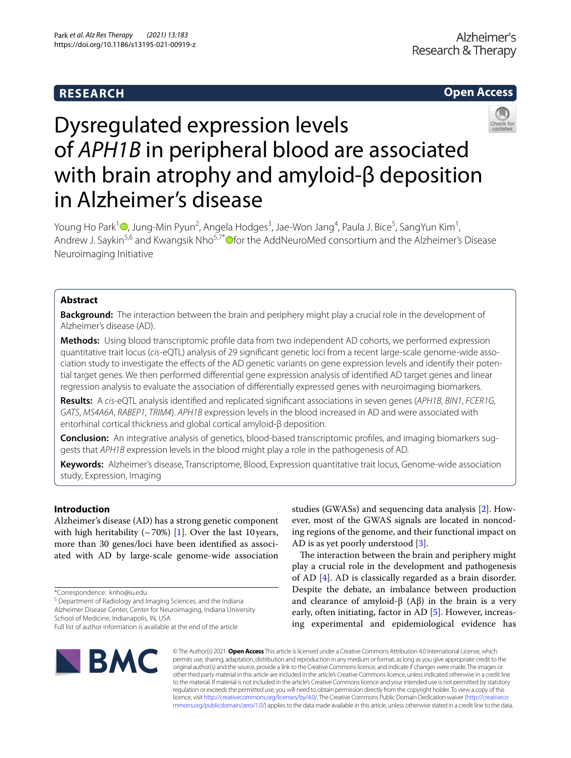# **RESEARCH**

## **Open Access**



# Dysregulated expression levels of *APH1B* in peripheral blood are associated with brain atrophy and amyloid-β deposition in Alzheimer's disease

Young Ho Park<sup>1</sup>❶[,](http://orcid.org/0000-0002-2756-1786) Jung-Min Pyun<sup>2</sup>, Angela Hodges<sup>3</sup>, Jae-Won Jang<sup>4</sup>, Paula J. Bice<sup>5</sup>, SangYun Kim<sup>1</sup>, Andrew J. Saykin<sup>5,6</sup> and Kwangsik Nho<sup>5,7\*</sup> **O**[f](http://orcid.org/0000-0002-7624-3872)or the AddNeuroMed consortium and the Alzheimer's Disease Neuroimaging Initiative

## **Abstract**

**Background:** The interaction between the brain and periphery might play a crucial role in the development of Alzheimer's disease (AD).

**Methods:** Using blood transcriptomic profle data from two independent AD cohorts, we performed expression quantitative trait locus (*cis*-eQTL) analysis of 29 signifcant genetic loci from a recent large-scale genome-wide asso‑ ciation study to investigate the effects of the AD genetic variants on gene expression levels and identify their potential target genes. We then performed diferential gene expression analysis of identifed AD target genes and linear regression analysis to evaluate the association of diferentially expressed genes with neuroimaging biomarkers.

**Results:** A *cis*-eQTL analysis identifed and replicated signifcant associations in seven genes (*APH1B*, *BIN1*, *FCER1G*, *GATS*, *MS4A6A*, *RABEP1*, *TRIM4*). *APH1B* expression levels in the blood increased in AD and were associated with entorhinal cortical thickness and global cortical amyloid-β deposition.

**Conclusion:** An integrative analysis of genetics, blood-based transcriptomic profiles, and imaging biomarkers suggests that *APH1B* expression levels in the blood might play a role in the pathogenesis of AD.

**Keywords:** Alzheimer's disease, Transcriptome, Blood, Expression quantitative trait locus, Genome-wide association study, Expression, Imaging

## **Introduction**

Alzheimer's disease (AD) has a strong genetic component with high heritability ( $\sim$  70%) [[1](#page-8-0)]. Over the last 10 years, more than 30 genes/loci have been identifed as associated with AD by large-scale genome-wide association

<sup>5</sup> Department of Radiology and Imaging Sciences, and the Indiana Alzheimer Disease Center, Center for Neuroimaging, Indiana University School of Medicine, Indianapolis, IN, USA

studies (GWASs) and sequencing data analysis [\[2](#page-8-1)]. However, most of the GWAS signals are located in noncoding regions of the genome, and their functional impact on AD is as yet poorly understood [[3\]](#page-8-2).

The interaction between the brain and periphery might play a crucial role in the development and pathogenesis of AD [\[4](#page-8-3)]. AD is classically regarded as a brain disorder. Despite the debate, an imbalance between production and clearance of amyloid- $β$  (A $β$ ) in the brain is a very early, often initiating, factor in AD [[5\]](#page-8-4). However, increasing experimental and epidemiological evidence has



© The Author(s) 2021. **Open Access** This article is licensed under a Creative Commons Attribution 4.0 International License, which permits use, sharing, adaptation, distribution and reproduction in any medium or format, as long as you give appropriate credit to the original author(s) and the source, provide a link to the Creative Commons licence, and indicate if changes were made. The images or other third party material in this article are included in the article's Creative Commons licence, unless indicated otherwise in a credit line to the material. If material is not included in the article's Creative Commons licence and your intended use is not permitted by statutory regulation or exceeds the permitted use, you will need to obtain permission directly from the copyright holder. To view a copy of this licence, visit [http://creativecommons.org/licenses/by/4.0/.](http://creativecommons.org/licenses/by/4.0/) The Creative Commons Public Domain Dedication waiver ([http://creativeco](http://creativecommons.org/publicdomain/zero/1.0/) [mmons.org/publicdomain/zero/1.0/](http://creativecommons.org/publicdomain/zero/1.0/)) applies to the data made available in this article, unless otherwise stated in a credit line to the data.

<sup>\*</sup>Correspondence: knho@iu.edu

Full list of author information is available at the end of the article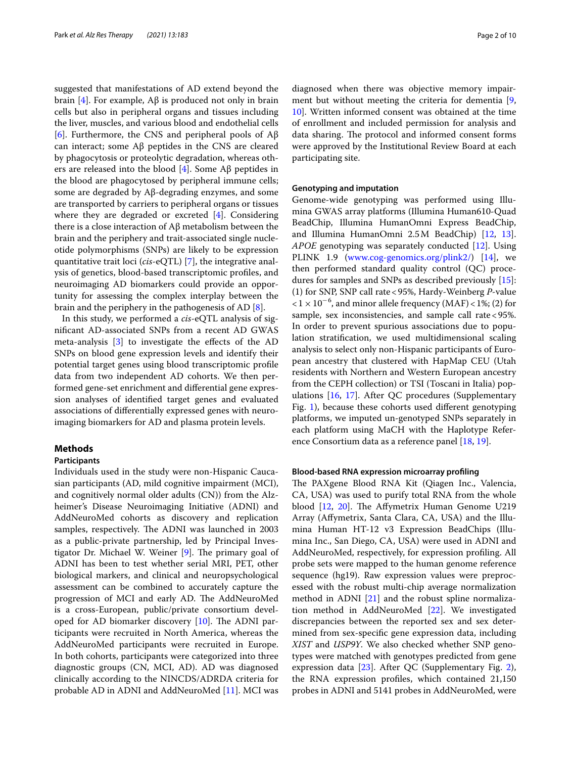suggested that manifestations of AD extend beyond the brain [\[4](#page-8-3)]. For example,  $\text{A}\beta$  is produced not only in brain cells but also in peripheral organs and tissues including the liver, muscles, and various blood and endothelial cells [[6\]](#page-8-5). Furthermore, the CNS and peripheral pools of  $A\beta$ can interact; some Aβ peptides in the CNS are cleared by phagocytosis or proteolytic degradation, whereas oth-ers are released into the blood [[4\]](#page-8-3). Some  $\mathbf{A}\mathbf{\beta}$  peptides in the blood are phagocytosed by peripheral immune cells; some are degraded by Aβ-degrading enzymes, and some are transported by carriers to peripheral organs or tissues where they are degraded or excreted [\[4](#page-8-3)]. Considering there is a close interaction of Aβ metabolism between the brain and the periphery and trait-associated single nucleotide polymorphisms (SNPs) are likely to be expression quantitative trait loci (*cis*-eQTL) [[7\]](#page-8-6), the integrative analysis of genetics, blood-based transcriptomic profles, and neuroimaging AD biomarkers could provide an opportunity for assessing the complex interplay between the brain and the periphery in the pathogenesis of AD [[8\]](#page-8-7).

In this study, we performed a *cis*-eQTL analysis of signifcant AD-associated SNPs from a recent AD GWAS meta-analysis [[3\]](#page-8-2) to investigate the efects of the AD SNPs on blood gene expression levels and identify their potential target genes using blood transcriptomic profle data from two independent AD cohorts. We then performed gene-set enrichment and diferential gene expression analyses of identifed target genes and evaluated associations of diferentially expressed genes with neuroimaging biomarkers for AD and plasma protein levels.

## **Methods**

## **Participants**

Individuals used in the study were non-Hispanic Caucasian participants (AD, mild cognitive impairment (MCI), and cognitively normal older adults (CN)) from the Alzheimer's Disease Neuroimaging Initiative (ADNI) and AddNeuroMed cohorts as discovery and replication samples, respectively. The ADNI was launched in 2003 as a public-private partnership, led by Principal Investigator Dr. Michael W. Weiner  $[9]$  $[9]$ . The primary goal of ADNI has been to test whether serial MRI, PET, other biological markers, and clinical and neuropsychological assessment can be combined to accurately capture the progression of MCI and early AD. The AddNeuroMed is a cross-European, public/private consortium developed for AD biomarker discovery  $[10]$  $[10]$  $[10]$ . The ADNI participants were recruited in North America, whereas the AddNeuroMed participants were recruited in Europe. In both cohorts, participants were categorized into three diagnostic groups (CN, MCI, AD). AD was diagnosed clinically according to the NINCDS/ADRDA criteria for probable AD in ADNI and AddNeuroMed [[11](#page-8-10)]. MCI was diagnosed when there was objective memory impairment but without meeting the criteria for dementia [\[9](#page-8-8), [10\]](#page-8-9). Written informed consent was obtained at the time of enrollment and included permission for analysis and data sharing. The protocol and informed consent forms were approved by the Institutional Review Board at each participating site.

### **Genotyping and imputation**

Genome-wide genotyping was performed using Illumina GWAS array platforms (Illumina Human610-Quad BeadChip, Illumina HumanOmni Express BeadChip, and Illumina HumanOmni 2.5M BeadChip) [[12,](#page-8-11) [13](#page-8-12)]. *APOE* genotyping was separately conducted [\[12\]](#page-8-11). Using PLINK 1.9 ([www.cog-genomics.org/plink2/](http://www.cog-genomics.org/plink2/)) [[14\]](#page-8-13), we then performed standard quality control (QC) procedures for samples and SNPs as described previously [\[15](#page-8-14)]: (1) for SNP, SNP call rate<95%, Hardy-Weinberg *P*-value  $<$  1  $\times$  10<sup>-6</sup>, and minor allele frequency (MAF) < 1%; (2) for sample, sex inconsistencies, and sample call rate<95%. In order to prevent spurious associations due to population stratifcation, we used multidimensional scaling analysis to select only non-Hispanic participants of European ancestry that clustered with HapMap CEU (Utah residents with Northern and Western European ancestry from the CEPH collection) or TSI (Toscani in Italia) populations [\[16](#page-8-15), [17](#page-8-16)]. After QC procedures (Supplementary Fig. [1\)](#page-7-0), because these cohorts used diferent genotyping platforms, we imputed un-genotyped SNPs separately in each platform using MaCH with the Haplotype Reference Consortium data as a reference panel [[18,](#page-8-17) [19](#page-8-18)].

#### **Blood‑based RNA expression microarray profling**

The PAXgene Blood RNA Kit (Qiagen Inc., Valencia, CA, USA) was used to purify total RNA from the whole blood [[12,](#page-8-11) [20](#page-8-19)]. The Affymetrix Human Genome U219 Array (Afymetrix, Santa Clara, CA, USA) and the Illumina Human HT-12 v3 Expression BeadChips (Illumina Inc., San Diego, CA, USA) were used in ADNI and AddNeuroMed, respectively, for expression profling. All probe sets were mapped to the human genome reference sequence (hg19). Raw expression values were preprocessed with the robust multi-chip average normalization method in ADNI [[21\]](#page-8-20) and the robust spline normalization method in AddNeuroMed [\[22](#page-8-21)]. We investigated discrepancies between the reported sex and sex determined from sex-specifc gene expression data, including *XIST* and *USP9Y*. We also checked whether SNP genotypes were matched with genotypes predicted from gene expression data [[23\]](#page-8-22). After QC (Supplementary Fig. [2](#page-7-0)), the RNA expression profles, which contained 21,150 probes in ADNI and 5141 probes in AddNeuroMed, were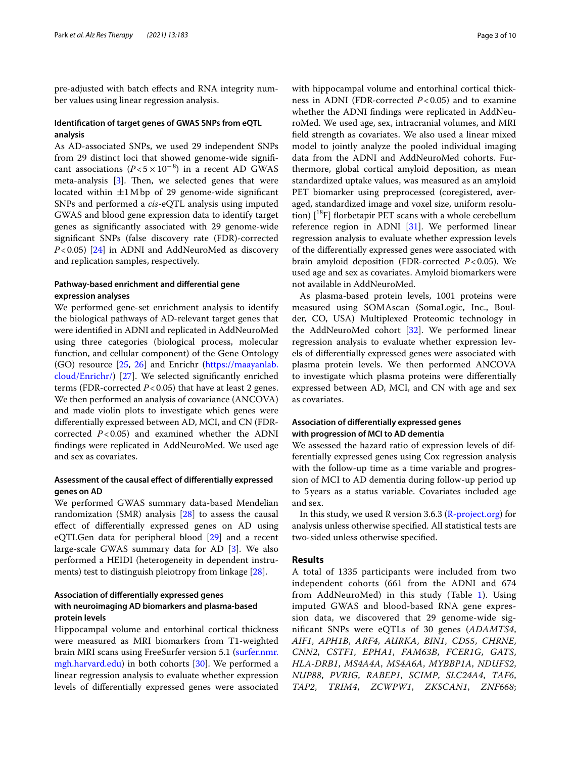pre-adjusted with batch efects and RNA integrity number values using linear regression analysis.

## **Identifcation of target genes of GWAS SNPs from eQTL analysis**

As AD-associated SNPs, we used 29 independent SNPs from 29 distinct loci that showed genome-wide signifcant associations  $(P < 5 \times 10^{-8})$  in a recent AD GWAS meta-analysis  $[3]$  $[3]$ . Then, we selected genes that were located within  $\pm 1$  M bp of 29 genome-wide significant SNPs and performed a *cis*-eQTL analysis using imputed GWAS and blood gene expression data to identify target genes as signifcantly associated with 29 genome-wide signifcant SNPs (false discovery rate (FDR)-corrected *P*<0.05) [\[24\]](#page-8-23) in ADNI and AddNeuroMed as discovery and replication samples, respectively.

## **Pathway‑based enrichment and diferential gene expression analyses**

We performed gene-set enrichment analysis to identify the biological pathways of AD-relevant target genes that were identifed in ADNI and replicated in AddNeuroMed using three categories (biological process, molecular function, and cellular component) of the Gene Ontology (GO) resource [\[25](#page-8-24), [26](#page-8-25)] and Enrichr [\(https://maayanlab.](https://maayanlab.cloud/Enrichr/) [cloud/Enrichr/\)](https://maayanlab.cloud/Enrichr/) [[27\]](#page-8-26). We selected signifcantly enriched terms (FDR-corrected *P*<0.05) that have at least 2 genes. We then performed an analysis of covariance (ANCOVA) and made violin plots to investigate which genes were diferentially expressed between AD, MCI, and CN (FDRcorrected *P*<0.05) and examined whether the ADNI fndings were replicated in AddNeuroMed. We used age and sex as covariates.

## **Assessment of the causal efect of diferentially expressed genes on AD**

We performed GWAS summary data-based Mendelian randomization (SMR) analysis  $[28]$  $[28]$  to assess the causal efect of diferentially expressed genes on AD using eQTLGen data for peripheral blood [[29\]](#page-8-28) and a recent large-scale GWAS summary data for AD [\[3](#page-8-2)]. We also performed a HEIDI (heterogeneity in dependent instruments) test to distinguish pleiotropy from linkage [[28\]](#page-8-27).

## **Association of diferentially expressed genes with neuroimaging AD biomarkers and plasma‑based protein levels**

Hippocampal volume and entorhinal cortical thickness were measured as MRI biomarkers from T1-weighted brain MRI scans using FreeSurfer version 5.1 [\(surfer.nmr.](http://surfer.nmr.mgh.harvard.edu) [mgh.harvard.edu\)](http://surfer.nmr.mgh.harvard.edu) in both cohorts [[30\]](#page-8-29). We performed a linear regression analysis to evaluate whether expression levels of diferentially expressed genes were associated with hippocampal volume and entorhinal cortical thickness in ADNI (FDR-corrected *P*<0.05) and to examine whether the ADNI fndings were replicated in AddNeuroMed. We used age, sex, intracranial volumes, and MRI feld strength as covariates. We also used a linear mixed model to jointly analyze the pooled individual imaging data from the ADNI and AddNeuroMed cohorts. Furthermore, global cortical amyloid deposition, as mean standardized uptake values, was measured as an amyloid PET biomarker using preprocessed (coregistered, averaged, standardized image and voxel size, uniform resolution) [ 18F] forbetapir PET scans with a whole cerebellum reference region in ADNI [[31](#page-8-30)]. We performed linear regression analysis to evaluate whether expression levels of the diferentially expressed genes were associated with brain amyloid deposition (FDR-corrected *P*<0.05). We used age and sex as covariates. Amyloid biomarkers were not available in AddNeuroMed.

As plasma-based protein levels, 1001 proteins were measured using SOMAscan (SomaLogic, Inc., Boulder, CO, USA) Multiplexed Proteomic technology in the AddNeuroMed cohort [[32](#page-8-31)]. We performed linear regression analysis to evaluate whether expression levels of diferentially expressed genes were associated with plasma protein levels. We then performed ANCOVA to investigate which plasma proteins were diferentially expressed between AD, MCI, and CN with age and sex as covariates.

## **Association of diferentially expressed genes with progression of MCI to AD dementia**

We assessed the hazard ratio of expression levels of differentially expressed genes using Cox regression analysis with the follow-up time as a time variable and progression of MCI to AD dementia during follow-up period up to 5years as a status variable. Covariates included age and sex.

In this study, we used R version 3.6.3 ([R-project.org](http://r-project.org)) for analysis unless otherwise specifed. All statistical tests are two-sided unless otherwise specifed.

## **Results**

A total of 1335 participants were included from two independent cohorts (661 from the ADNI and 674 from AddNeuroMed) in this study (Table [1](#page-3-0)). Using imputed GWAS and blood-based RNA gene expression data, we discovered that 29 genome-wide signifcant SNPs were eQTLs of 30 genes (*ADAMTS4*, *AIF1*, *APH1B*, *ARF4*, *AURKA*, *BIN1*, *CD55*, *CHRNE*, *CNN2*, *CSTF1*, *EPHA1*, *FAM63B*, *FCER1G*, *GATS*, *HLA-DRB1*, *MS4A4A*, *MS4A6A*, *MYBBP1A*, *NDUFS2*, *NUP88*, *PVRIG*, *RABEP1*, *SCIMP*, *SLC24A4*, *TAF6*, *TAP2*, *TRIM4*, *ZCWPW1*, *ZKSCAN1*, *ZNF668*;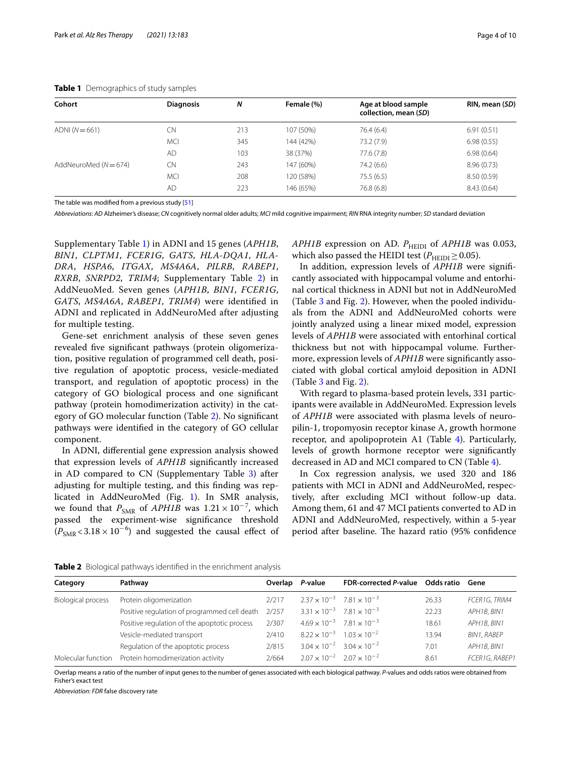| Cohort                | <b>Diagnosis</b> | N   | Female (%) | Age at blood sample<br>collection, mean (SD) | RIN, mean (SD) |
|-----------------------|------------------|-----|------------|----------------------------------------------|----------------|
| $ADNI (N = 661)$      | <b>CN</b>        | 213 | 107 (50%)  | 76.4 (6.4)                                   | 6.91(0.51)     |
|                       | <b>MCI</b>       | 345 | 144 (42%)  | 73.2 (7.9)                                   | 6.98(0.55)     |
|                       | <b>AD</b>        | 103 | 38 (37%)   | 77.6(7.8)                                    | 6.98(0.64)     |
| AddNeuroMed $(N=674)$ | CN               | 243 | 147 (60%)  | 74.2(6.6)                                    | 8.96(0.73)     |
|                       | <b>MCI</b>       | 208 | 120 (58%)  | 75.5(6.5)                                    | 8.50(0.59)     |
|                       | <b>AD</b>        | 223 | 146 (65%)  | 76.8(6.8)                                    | 8.43(0.64)     |

<span id="page-3-0"></span>

The table was modifed from a previous study [[51\]](#page-9-0)

*Abbreviations*: *AD* Alzheimer's disease; *CN* cognitively normal older adults; *MCI* mild cognitive impairment; *RIN* RNA integrity number; *SD* standard deviation

Supplementary Table [1](#page-7-1)) in ADNI and 15 genes (*APH1B*, *BIN1*, *CLPTM1*, *FCER1G*, *GATS*, *HLA-DQA1*, *HLA-DRA*, *HSPA6*, *ITGAX*, *MS4A6A*, *PILRB*, *RABEP1*, *RXRB*, *SNRPD2*, *TRIM4*; Supplementary Table [2\)](#page-7-1) in AddNeuoMed. Seven genes (*APH1B*, *BIN1*, *FCER1G*, *GATS*, *MS4A6A*, *RABEP1*, *TRIM4*) were identifed in ADNI and replicated in AddNeuroMed after adjusting for multiple testing.

Gene-set enrichment analysis of these seven genes revealed fve signifcant pathways (protein oligomerization, positive regulation of programmed cell death, positive regulation of apoptotic process, vesicle-mediated transport, and regulation of apoptotic process) in the category of GO biological process and one signifcant pathway (protein homodimerization activity) in the category of GO molecular function (Table [2\)](#page-3-1). No signifcant pathways were identifed in the category of GO cellular component.

In ADNI, diferential gene expression analysis showed that expression levels of *APH1B* signifcantly increased in AD compared to CN (Supplementary Table [3](#page-7-1)) after adjusting for multiple testing, and this fnding was replicated in AddNeuroMed (Fig. [1\)](#page-4-0). In SMR analysis, we found that  $P_{\text{SMR}}$  of *APH1B* was  $1.21 \times 10^{-7}$ , which passed the experiment-wise signifcance threshold  $(P_{\text{SMR}} < 3.18 \times 10^{-6})$  and suggested the causal effect of *APH1B* expression on AD.  $P$ <sub>HEIDI</sub> of *APH1B* was 0.053, which also passed the HEIDI test ( $P_{\text{HEIDI}} \geq 0.05$ ).

In addition, expression levels of *APH1B* were signifcantly associated with hippocampal volume and entorhinal cortical thickness in ADNI but not in AddNeuroMed (Table [3](#page-5-0) and Fig. [2\)](#page-6-0). However, when the pooled individuals from the ADNI and AddNeuroMed cohorts were jointly analyzed using a linear mixed model, expression levels of *APH1B* were associated with entorhinal cortical thickness but not with hippocampal volume. Furthermore, expression levels of *APH1B* were signifcantly associated with global cortical amyloid deposition in ADNI (Table [3](#page-5-0) and Fig. [2](#page-6-0)).

With regard to plasma-based protein levels, 331 participants were available in AddNeuroMed. Expression levels of *APH1B* were associated with plasma levels of neuropilin-1, tropomyosin receptor kinase A, growth hormone receptor, and apolipoprotein A1 (Table [4\)](#page-7-2). Particularly, levels of growth hormone receptor were signifcantly decreased in AD and MCI compared to CN (Table [4](#page-7-2)).

In Cox regression analysis, we used 320 and 186 patients with MCI in ADNI and AddNeuroMed, respectively, after excluding MCI without follow-up data. Among them, 61 and 47 MCI patients converted to AD in ADNI and AddNeuroMed, respectively, within a 5-year period after baseline. The hazard ratio (95% confidence

<span id="page-3-1"></span>**Table 2** Biological pathways identifed in the enrichment analysis

| Category                  | Pathway                                      | Overlap | P-value | <b>FDR-corrected P-value</b>                | Odds ratio | Gene           |
|---------------------------|----------------------------------------------|---------|---------|---------------------------------------------|------------|----------------|
| <b>Biological process</b> | Protein oligomerization                      | 2/217   |         | $2.37 \times 10^{-3}$ $7.81 \times 10^{-3}$ | 26.33      | FCER1G, TRIM4  |
|                           | Positive regulation of programmed cell death | 2/257   |         | $3.31 \times 10^{-3}$ $7.81 \times 10^{-3}$ | 22.23      | APH1B, BIN1    |
|                           | Positive regulation of the apoptotic process | 2/307   |         | $4.69 \times 10^{-3}$ $7.81 \times 10^{-3}$ | 18.61      | APH1B, BIN1    |
|                           | Vesicle-mediated transport                   | 2/410   |         | $8.22 \times 10^{-3}$ $1.03 \times 10^{-2}$ | 13.94      | BIN1, RABEP    |
|                           | Regulation of the apoptotic process          | 2/815   |         | $3.04 \times 10^{-2}$ $3.04 \times 10^{-2}$ | 7.01       | APH1B, BIN1    |
| Molecular function        | Protein homodimerization activity            | 2/664   |         | $2.07 \times 10^{-2}$ $2.07 \times 10^{-2}$ | 8.61       | FCER1G, RABEP1 |

Overlap means a ratio of the number of input genes to the number of genes associated with each biological pathway. *P*-values and odds ratios were obtained from Fisher's exact test

*Abbreviation*: *FDR* false discovery rate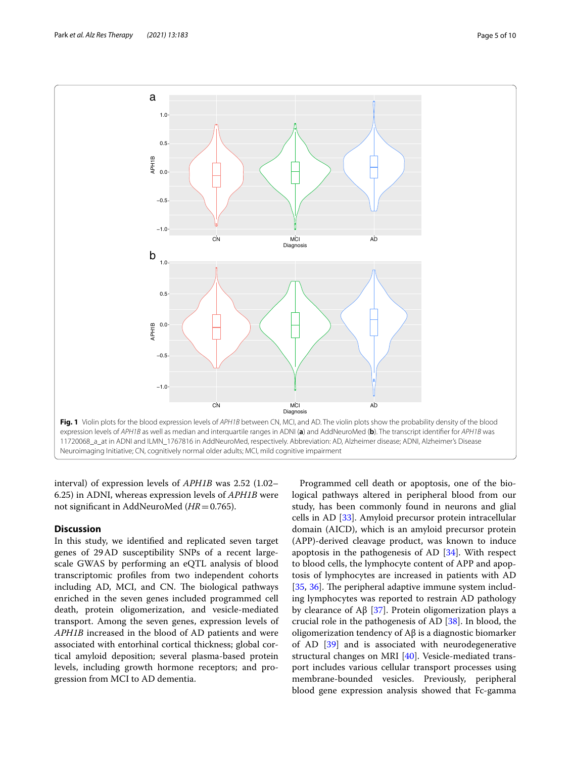

<span id="page-4-0"></span>interval) of expression levels of *APH1B* was 2.52 (1.02– 6.25) in ADNI, whereas expression levels of *APH1B* were not signifcant in AddNeuroMed (*HR*=0.765).

## **Discussion**

In this study, we identifed and replicated seven target genes of 29AD susceptibility SNPs of a recent largescale GWAS by performing an eQTL analysis of blood transcriptomic profles from two independent cohorts including AD, MCI, and CN. The biological pathways enriched in the seven genes included programmed cell death, protein oligomerization, and vesicle-mediated transport. Among the seven genes, expression levels of *APH1B* increased in the blood of AD patients and were associated with entorhinal cortical thickness; global cortical amyloid deposition; several plasma-based protein levels, including growth hormone receptors; and progression from MCI to AD dementia.

Programmed cell death or apoptosis, one of the biological pathways altered in peripheral blood from our study, has been commonly found in neurons and glial cells in AD [[33\]](#page-9-1). Amyloid precursor protein intracellular domain (AICD), which is an amyloid precursor protein (APP)-derived cleavage product, was known to induce apoptosis in the pathogenesis of AD [\[34](#page-9-2)]. With respect to blood cells, the lymphocyte content of APP and apoptosis of lymphocytes are increased in patients with AD  $[35, 36]$  $[35, 36]$  $[35, 36]$  $[35, 36]$ . The peripheral adaptive immune system including lymphocytes was reported to restrain AD pathology by clearance of Aβ [[37\]](#page-9-5). Protein oligomerization plays a crucial role in the pathogenesis of AD [\[38](#page-9-6)]. In blood, the oligomerization tendency of Aβ is a diagnostic biomarker of AD [[39\]](#page-9-7) and is associated with neurodegenerative structural changes on MRI [\[40](#page-9-8)]. Vesicle-mediated transport includes various cellular transport processes using membrane-bounded vesicles. Previously, peripheral blood gene expression analysis showed that Fc-gamma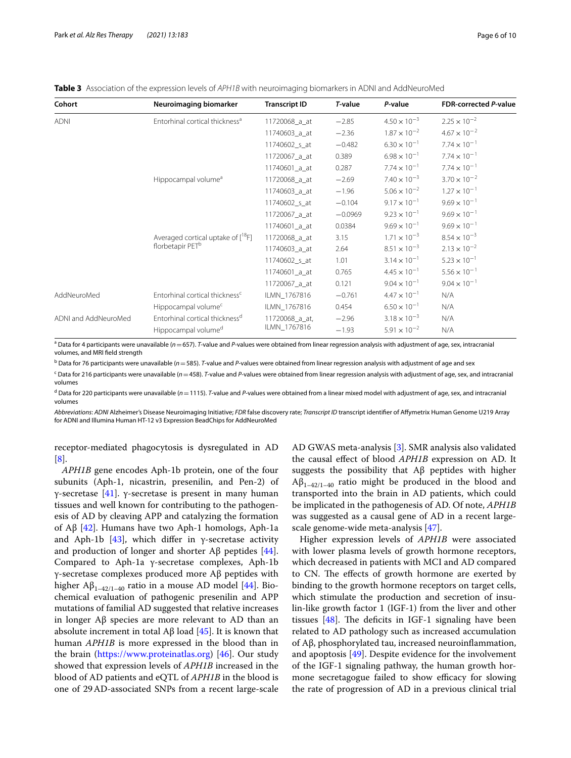| Cohort               | Neuroimaging biomarker                                                 | <b>Transcript ID</b> | T-value   | P-value               | <b>FDR-corrected P-value</b> |
|----------------------|------------------------------------------------------------------------|----------------------|-----------|-----------------------|------------------------------|
| <b>ADNI</b>          | Entorhinal cortical thickness <sup>a</sup>                             | 11720068_a_at        | $-2.85$   | $4.50 \times 10^{-3}$ | $2.25 \times 10^{-2}$        |
|                      |                                                                        | 11740603 a at        | $-2.36$   | $1.87 \times 10^{-2}$ | $4.67 \times 10^{-2}$        |
|                      |                                                                        | 11740602_s_at        | $-0.482$  | $6.30 \times 10^{-1}$ | $7.74 \times 10^{-1}$        |
|                      |                                                                        | 11720067_a_at        | 0.389     | $6.98 \times 10^{-1}$ | $7.74 \times 10^{-1}$        |
|                      |                                                                        | 11740601_a_at        | 0.287     | $7.74 \times 10^{-1}$ | $7.74 \times 10^{-1}$        |
|                      | Hippocampal volume <sup>a</sup>                                        | 11720068_a_at        | $-2.69$   | $7.40 \times 10^{-3}$ | $3.70 \times 10^{-2}$        |
|                      |                                                                        | 11740603_a_at        | $-1.96$   | $5.06 \times 10^{-2}$ | $1.27 \times 10^{-1}$        |
|                      |                                                                        | 11740602_s_at        | $-0.104$  | $9.17 \times 10^{-1}$ | $9.69 \times 10^{-1}$        |
|                      |                                                                        | 11720067_a_at        | $-0.0969$ | $9.23 \times 10^{-1}$ | $9.69 \times 10^{-1}$        |
|                      |                                                                        | 11740601 a at        | 0.0384    | $9.69 \times 10^{-1}$ | $9.69 \times 10^{-1}$        |
|                      | Averaged cortical uptake of $[^{18}F]$<br>florbetapir PET <sup>b</sup> | 11720068_a_at        | 3.15      | $1.71 \times 10^{-3}$ | $8.54 \times 10^{-3}$        |
|                      |                                                                        | 11740603_a_at        | 2.64      | $8.51 \times 10^{-3}$ | $2.13 \times 10^{-2}$        |
|                      |                                                                        | 11740602_s_at        | 1.01      | $3.14 \times 10^{-1}$ | $5.23 \times 10^{-1}$        |
|                      |                                                                        | 11740601 a at        | 0.765     | $4.45 \times 10^{-1}$ | $5.56 \times 10^{-1}$        |
|                      |                                                                        | 11720067_a_at        | 0.121     | $9.04 \times 10^{-1}$ | $9.04 \times 10^{-1}$        |
| AddNeuroMed          | Entorhinal cortical thickness <sup>c</sup>                             | ILMN_1767816         | $-0.761$  | $4.47 \times 10^{-1}$ | N/A                          |
|                      | Hippocampal volume <sup>c</sup>                                        | ILMN_1767816         | 0.454     | $6.50 \times 10^{-1}$ | N/A                          |
| ADNI and AddNeuroMed | Entorhinal cortical thickness <sup>d</sup>                             | 11720068_a_at,       | $-2.96$   | $3.18 \times 10^{-3}$ | N/A                          |
|                      | Hippocampal volume <sup>d</sup>                                        | ILMN_1767816         | $-1.93$   | $5.91 \times 10^{-2}$ | N/A                          |

#### <span id="page-5-0"></span>**Table 3** Association of the expression levels of *APH1B* with neuroimaging biomarkers in ADNI and AddNeuroMed

<sup>a</sup> Data for 4 participants were unavailable (*n*=657). *T*-value and *P*-values were obtained from linear regression analysis with adjustment of age, sex, intracranial volumes, and MRI feld strength

<sup>b</sup> Data for 76 participants were unavailable (*n* = 585). *T*-value and *P*-values were obtained from linear regression analysis with adjustment of age and sex

c Data for 216 participants were unavailable (*n*=458). *T*-value and *P*-values were obtained from linear regression analysis with adjustment of age, sex, and intracranial volumes

d Data for 220 participants were unavailable (*n*=1115). *T*-value and *P*-values were obtained from a linear mixed model with adjustment of age, sex, and intracranial volumes

*Abbreviations*: *ADNI* Alzheimer's Disease Neuroimaging Initiative; *FDR* false discovery rate; *Transcript ID* transcript identifer of Afymetrix Human Genome U219 Array for ADNI and Illumina Human HT-12 v3 Expression BeadChips for AddNeuroMed

receptor-mediated phagocytosis is dysregulated in AD [[8\]](#page-8-7).

*APH1B* gene encodes Aph-1b protein, one of the four subunits (Aph-1, nicastrin, presenilin, and Pen-2) of γ-secretase [[41](#page-9-9)]. γ-secretase is present in many human tissues and well known for contributing to the pathogenesis of AD by cleaving APP and catalyzing the formation of Aβ [[42\]](#page-9-10). Humans have two Aph-1 homologs, Aph-1a and Aph-1b [\[43](#page-9-11)], which differ in γ-secretase activity and production of longer and shorter  $\text{A}\beta$  peptides [\[44](#page-9-12)]. Compared to Aph-1a γ-secretase complexes, Aph-1b γ-secretase complexes produced more Aβ peptides with higher  $\mathsf{A}\beta_{1-42/1-40}$  ratio in a mouse AD model [[44\]](#page-9-12). Biochemical evaluation of pathogenic presenilin and APP mutations of familial AD suggested that relative increases in longer Aβ species are more relevant to AD than an absolute increment in total Aβ load  $[45]$  $[45]$ . It is known that human *APH1B* is more expressed in the blood than in the brain (<https://www.proteinatlas.org>) [\[46](#page-9-14)]. Our study showed that expression levels of *APH1B* increased in the blood of AD patients and eQTL of *APH1B* in the blood is one of 29AD-associated SNPs from a recent large-scale AD GWAS meta-analysis [[3\]](#page-8-2). SMR analysis also validated the causal efect of blood *APH1B* expression on AD. It suggests the possibility that Aβ peptides with higher  $A\beta_{1-42/1-40}$  ratio might be produced in the blood and transported into the brain in AD patients, which could be implicated in the pathogenesis of AD. Of note, *APH1B* was suggested as a causal gene of AD in a recent largescale genome-wide meta-analysis [\[47\]](#page-9-15).

Higher expression levels of *APH1B* were associated with lower plasma levels of growth hormone receptors, which decreased in patients with MCI and AD compared to CN. The effects of growth hormone are exerted by binding to the growth hormone receptors on target cells, which stimulate the production and secretion of insulin-like growth factor 1 (IGF-1) from the liver and other tissues  $[48]$  $[48]$  $[48]$ . The deficits in IGF-1 signaling have been related to AD pathology such as increased accumulation of Aβ, phosphorylated tau, increased neuroinfammation, and apoptosis [\[49](#page-9-17)]. Despite evidence for the involvement of the IGF-1 signaling pathway, the human growth hormone secretagogue failed to show efficacy for slowing the rate of progression of AD in a previous clinical trial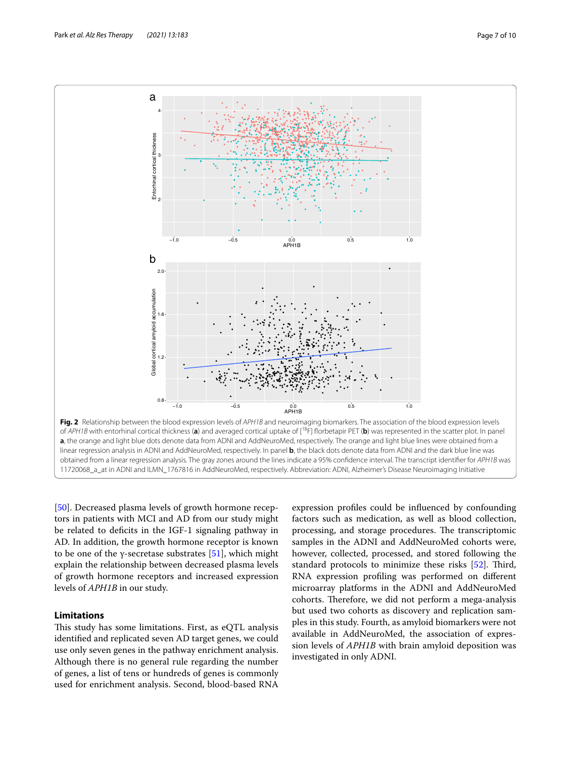

<span id="page-6-0"></span>[[50\]](#page-9-18). Decreased plasma levels of growth hormone receptors in patients with MCI and AD from our study might be related to deficits in the IGF-1 signaling pathway in AD. In addition, the growth hormone receptor is known to be one of the *γ*-secretase substrates [[51\]](#page-9-0), which might explain the relationship between decreased plasma levels of growth hormone receptors and increased expression

## **Limitations**

levels of *APH1B* in our study.

This study has some limitations. First, as eQTL analysis identifed and replicated seven AD target genes, we could use only seven genes in the pathway enrichment analysis. Although there is no general rule regarding the number of genes, a list of tens or hundreds of genes is commonly used for enrichment analysis. Second, blood-based RNA

expression profles could be infuenced by confounding factors such as medication, as well as blood collection, processing, and storage procedures. The transcriptomic samples in the ADNI and AddNeuroMed cohorts were, however, collected, processed, and stored following the standard protocols to minimize these risks  $[52]$  $[52]$ . Third, RNA expression profling was performed on diferent microarray platforms in the ADNI and AddNeuroMed cohorts. Therefore, we did not perform a mega-analysis but used two cohorts as discovery and replication samples in this study. Fourth, as amyloid biomarkers were not available in AddNeuroMed, the association of expression levels of *APH1B* with brain amyloid deposition was investigated in only ADNI.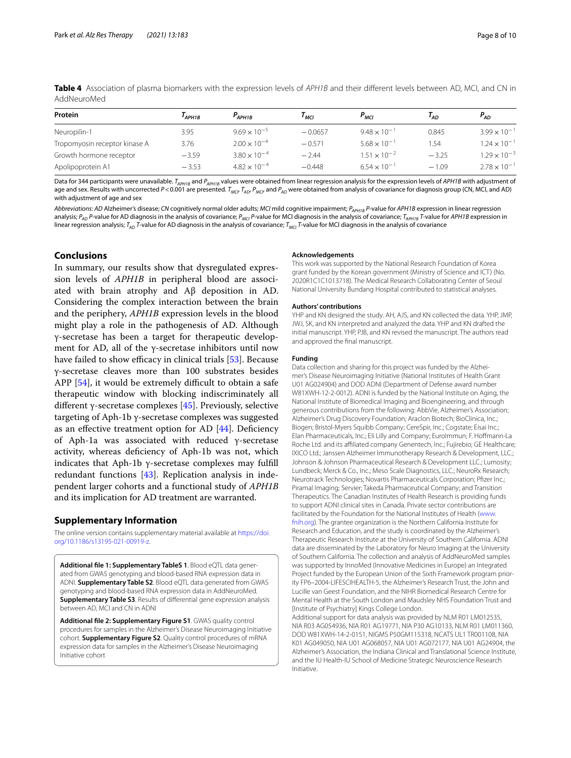| Protein                       | $I_{APH1B}$ | $P_{APH1B}$           | I мсі     | $P_{MCI}$             | $I_{AD}$ | $P_{AD}$              |
|-------------------------------|-------------|-----------------------|-----------|-----------------------|----------|-----------------------|
| Neuropilin-1                  | 3.95        | $9.69 \times 10^{-5}$ | $-0.0657$ | $9.48 \times 10^{-1}$ | 0.845    | $3.99 \times 10^{-1}$ |
| Tropomyosin receptor kinase A | 3.76        | $2.00 \times 10^{-4}$ | $-0.571$  | $5.68 \times 10^{-1}$ | 1.54     | $1.24 \times 10^{-1}$ |
| Growth hormone receptor       | $-3.59$     | $3.80 \times 10^{-4}$ | $-2.44$   | $1.51 \times 10^{-2}$ | $-3.25$  | $1.29 \times 10^{-3}$ |
| Apolipoprotein A1             | $-3.53$     | $4.82 \times 10^{-4}$ | $-0.448$  | $6.54 \times 10^{-1}$ | $-1.09$  | $2.78 \times 10^{-1}$ |

<span id="page-7-2"></span>**Table 4** Association of plasma biomarkers with the expression levels of *APH1B* and their diferent levels between AD, MCI, and CN in AddNeuroMed

Data for 344 participants were unavailable. *T<sub>APH1B</sub>* and *P<sub>APH1B</sub>* values were obtained from linear regression analysis for the expression levels of *APH1B* with adjustment of age and sex. Results with uncorrected *P* < 0.001 are presented.  $T_{MCF}T_{AD}$ ,  $P_{MCF}$  and  $P_{AD}$  were obtained from analysis of covariance for diagnosis group (CN, MCI, and AD) with adjustment of age and sex

*Abbreviations: AD* Alzheimer's disease; *CN* cognitively normal older adults; *MCI* mild cognitive impairment;  $P_{APH1B}$  *P*-value for *APH1B* expression in linear regression analysis; *P<sub>AD</sub> P*-value for AD diagnosis in the analysis of covariance; *P<sub>MCI</sub> P*-value for MCI diagnosis in the analysis of covariance; *T<sub>APH1B</sub> T*-value for *APH1B* expression in linear regression analysis;  $T_{AD}$  *T*-value for AD diagnosis in the analysis of covariance;  $T_{MC}$  *T*-value for MCI diagnosis in the analysis of covariance

## **Conclusions**

In summary, our results show that dysregulated expression levels of *APH1B* in peripheral blood are associated with brain atrophy and Aβ deposition in AD. Considering the complex interaction between the brain and the periphery, *APH1B* expression levels in the blood might play a role in the pathogenesis of AD. Although γ-secretase has been a target for therapeutic development for AD, all of the  $\gamma$ -secretase inhibitors until now have failed to show efficacy in clinical trials  $[53]$  $[53]$  $[53]$ . Because γ-secretase cleaves more than 100 substrates besides APP  $[54]$ , it would be extremely difficult to obtain a safe therapeutic window with blocking indiscriminately all diferent γ-secretase complexes [\[45\]](#page-9-13). Previously, selective targeting of Aph-1b γ-secretase complexes was suggested as an effective treatment option for AD  $[44]$  $[44]$  $[44]$ . Deficiency of Aph-1a was associated with reduced γ-secretase activity, whereas defciency of Aph-1b was not, which indicates that Aph-1b  $\gamma$ -secretase complexes may fulfill redundant functions [\[43\]](#page-9-11). Replication analysis in independent larger cohorts and a functional study of *APH1B* and its implication for AD treatment are warranted.

#### **Supplementary Information**

The online version contains supplementary material available at [https://doi.](https://doi.org/10.1186/s13195-021-00919-z) [org/10.1186/s13195-021-00919-z.](https://doi.org/10.1186/s13195-021-00919-z)

<span id="page-7-1"></span>**Additional fle 1: Supplementary TableS 1**. Blood eQTL data gener‑ ated from GWAS genotyping and blood-based RNA expression data in ADNI. **Supplementary Table S2**. Blood eQTL data generated from GWAS genotyping and blood-based RNA expression data in AddNeuroMed. **Supplementary Table S3**. Results of diferential gene expression analysis between AD, MCI and CN in ADNI

<span id="page-7-0"></span>**Additional fle 2: Supplementary Figure S1**. GWAS quality control procedures for samples in the Alzheimer's Disease Neuroimaging Initiative cohort. **Supplementary Figure S2**. Quality control procedures of mRNA expression data for samples in the Alzheimer's Disease Neuroimaging Initiative cohort

#### **Acknowledgements**

This work was supported by the National Research Foundation of Korea grant funded by the Korean government (Ministry of Science and ICT) (No. 2020R1C1C1013718). The Medical Research Collaborating Center of Seoul National University Bundang Hospital contributed to statistical analyses.

#### **Authors' contributions**

YHP and KN designed the study. AH, AJS, and KN collected the data. YHP, JMP, JWJ, SK, and KN interpreted and analyzed the data. YHP and KN drafted the initial manuscript. YHP, PJB, and KN revised the manuscript. The authors read and approved the fnal manuscript.

#### **Funding**

Data collection and sharing for this project was funded by the Alzheimer's Disease Neuroimaging Initiative (National Institutes of Health Grant U01 AG024904) and DOD ADNI (Department of Defense award number W81XWH-12-2-0012). ADNI is funded by the National Institute on Aging, the National Institute of Biomedical Imaging and Bioengineering, and through generous contributions from the following: AbbVie, Alzheimer's Association; Alzheimer's Drug Discovery Foundation; Araclon Biotech; BioClinica, Inc.; Biogen; Bristol-Myers Squibb Company; CereSpir, Inc.; Cogstate; Eisai Inc.; Elan Pharmaceuticals, Inc.; Eli Lilly and Company; EuroImmun; F. Hofmann-La Roche Ltd. and its affiliated company Genentech, Inc.; Fujirebio; GE Healthcare; IXICO Ltd.; Janssen Alzheimer Immunotherapy Research & Development, LLC.; Johnson & Johnson Pharmaceutical Research & Development LLC.; Lumosity; Lundbeck; Merck & Co., Inc.; Meso Scale Diagnostics, LLC.; NeuroRx Research; Neurotrack Technologies; Novartis Pharmaceuticals Corporation; Pfizer Inc.; Piramal Imaging; Servier; Takeda Pharmaceutical Company; and Transition Therapeutics. The Canadian Institutes of Health Research is providing funds to support ADNI clinical sites in Canada. Private sector contributions are facilitated by the Foundation for the National Institutes of Health [\(www.](http://www.fnih.org) [fnih.org\)](http://www.fnih.org). The grantee organization is the Northern California Institute for Research and Education, and the study is coordinated by the Alzheimer's Therapeutic Research Institute at the University of Southern California. ADNI data are disseminated by the Laboratory for Neuro Imaging at the University of Southern California. The collection and analysis of AddNeuroMed samples was supported by InnoMed (Innovative Medicines in Europe) an Integrated Project funded by the European Union of the Sixth Framework program priority FP6–2004-LIFESCIHEALTH-5, the Alzheimer's Research Trust, the John and Lucille van Geest Foundation, and the NIHR Biomedical Research Centre for Mental Health at the South London and Maudsley NHS Foundation Trust and [Institute of Psychiatry] Kings College London.

Additional support for data analysis was provided by NLM R01 LM012535, NIA R03 AG054936, NIA R01 AG19771, NIA P30 AG10133, NLM R01 LM011360, DOD W81XWH-14-2-0151, NIGMS P50GM115318, NCATS UL1 TR001108, NIA K01 AG049050, NIA U01 AG068057, NIA U01 AG072177, NIA U01 AG24904, the Alzheimer's Association, the Indiana Clinical and Translational Science Institute, and the IU Health-IU School of Medicine Strategic Neuroscience Research Initiative.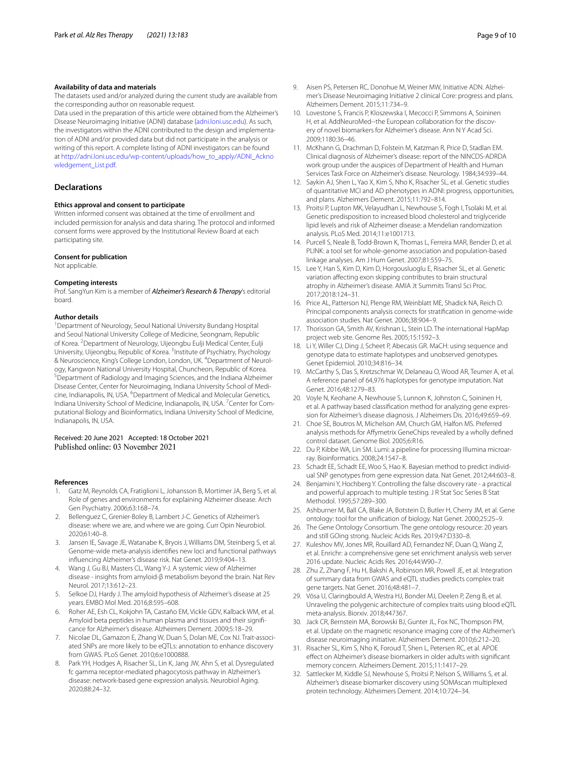#### **Availability of data and materials**

The datasets used and/or analyzed during the current study are available from the corresponding author on reasonable request.

Data used in the preparation of this article were obtained from the Alzheimer's Disease Neuroimaging Initiative (ADNI) database [\(adni.loni.usc.edu\)](http://adni.loni.usc.edu). As such, the investigators within the ADNI contributed to the design and implementation of ADNI and/or provided data but did not participate in the analysis or writing of this report. A complete listing of ADNI investigators can be found at [http://adni.loni.usc.edu/wp-content/uploads/how\\_to\\_apply/ADNI\\_Ackno](http://adni.loni.usc.edu/wp-content/uploads/how_to_apply/ADNI_Acknowledgement_List.pdf) [wledgement\\_List.pdf](http://adni.loni.usc.edu/wp-content/uploads/how_to_apply/ADNI_Acknowledgement_List.pdf).

## **Declarations**

### **Ethics approval and consent to participate**

Written informed consent was obtained at the time of enrollment and included permission for analysis and data sharing. The protocol and informed consent forms were approved by the Institutional Review Board at each participating site.

#### **Consent for publication**

Not applicable.

#### **Competing interests**

Prof. SangYun Kim is a member of *Alzheimer's Research & Therapy*'s editorial board.

#### **Author details**

<sup>1</sup> Department of Neurology, Seoul National University Bundang Hospital and Seoul National University College of Medicine, Seongnam, Republic of Korea. <sup>2</sup> Department of Neurology, Uijeongbu Eulji Medical Center, Eulji University, Uijeongbu, Republic of Korea. <sup>3</sup>Institute of Psychiatry, Psychology & Neuroscience, King's College London, London, UK. <sup>4</sup> Department of Neurology, Kangwon National University Hospital, Chuncheon, Republic of Korea. 5 Department of Radiology and Imaging Sciences, and the Indiana Alzheimer Disease Center, Center for Neuroimaging, Indiana University School of Medicine, Indianapolis, IN, USA. <sup>6</sup> Department of Medical and Molecular Genetics, Indiana University School of Medicine, Indianapolis, IN, USA. <sup>7</sup> Center for Computational Biology and Bioinformatics, Indiana University School of Medicine, Indianapolis, IN, USA.

#### Received: 20 June 2021 Accepted: 18 October 2021 Published online: 03 November 2021

#### **References**

- <span id="page-8-0"></span>1. Gatz M, Reynolds CA, Fratiglioni L, Johansson B, Mortimer JA, Berg S, et al. Role of genes and environments for explaining Alzheimer disease. Arch Gen Psychiatry. 2006;63:168–74.
- <span id="page-8-1"></span>2. Bellenguez C, Grenier-Boley B, Lambert J-C. Genetics of Alzheimer's disease: where we are, and where we are going. Curr Opin Neurobiol. 2020;61:40–8.
- <span id="page-8-2"></span>3. Jansen IE, Savage JE, Watanabe K, Bryois J, Williams DM, Steinberg S, et al. Genome-wide meta-analysis identifes new loci and functional pathways infuencing Alzheimer's disease risk. Nat Genet. 2019;9:404–13.
- <span id="page-8-3"></span>4. Wang J, Gu BJ, Masters CL, Wang Y-J. A systemic view of Alzheimer disease - insights from amyloid-β metabolism beyond the brain. Nat Rev Neurol. 2017;13:612–23.
- <span id="page-8-4"></span>5. Selkoe DJ, Hardy J. The amyloid hypothesis of Alzheimer's disease at 25 years. EMBO Mol Med. 2016;8:595–608.
- <span id="page-8-5"></span>6. Roher AE, Esh CL, Kokjohn TA, Castaño EM, Vickle GDV, Kalback WM, et al. Amyloid beta peptides in human plasma and tissues and their significance for Alzheimer's disease. Alzheimers Dement. 2009;5:18–29.
- <span id="page-8-6"></span>7. Nicolae DL, Gamazon E, Zhang W, Duan S, Dolan ME, Cox NJ. Trait-associated SNPs are more likely to be eQTLs: annotation to enhance discovery from GWAS. PLoS Genet. 2010;6:e1000888.
- <span id="page-8-7"></span>8. Park YH, Hodges A, Risacher SL, Lin K, Jang JW, Ahn S, et al. Dysregulated fc gamma receptor-mediated phagocytosis pathway in Alzheimer's disease: network-based gene expression analysis. Neurobiol Aging. 2020;88:24–32.
- <span id="page-8-8"></span>9. Aisen PS, Petersen RC, Donohue M, Weiner MW, Initiative ADN. Alzheimer's Disease Neuroimaging Initiative 2 clinical Core: progress and plans. Alzheimers Dement. 2015;11:734–9.
- <span id="page-8-9"></span>10. Lovestone S, Francis P, Kloszewska I, Mecocci P, Simmons A, Soininen H, et al. AddNeuroMed--the European collaboration for the discovery of novel biomarkers for Alzheimer's disease. Ann N Y Acad Sci. 2009;1180:36–46.
- <span id="page-8-10"></span>11. McKhann G, Drachman D, Folstein M, Katzman R, Price D, Stadlan EM. Clinical diagnosis of Alzheimer's disease: report of the NINCDS-ADRDA work group under the auspices of Department of Health and Human Services Task Force on Alzheimer's disease. Neurology. 1984;34:939–44.
- <span id="page-8-11"></span>12. Saykin AJ, Shen L, Yao X, Kim S, Nho K, Risacher SL, et al. Genetic studies of quantitative MCI and AD phenotypes in ADNI: progress, opportunities, and plans. Alzheimers Dement. 2015;11:792–814.
- <span id="page-8-12"></span>13. Proitsi P, Lupton MK, Velayudhan L, Newhouse S, Fogh I, Tsolaki M, et al. Genetic predisposition to increased blood cholesterol and triglyceride lipid levels and risk of Alzheimer disease: a Mendelian randomization analysis. PLoS Med. 2014;11:e1001713.
- <span id="page-8-13"></span>14. Purcell S, Neale B, Todd-Brown K, Thomas L, Ferreira MAR, Bender D, et al. PLINK: a tool set for whole-genome association and population-based linkage analyses. Am J Hum Genet. 2007;81:559–75.
- <span id="page-8-14"></span>15. Lee Y, Han S, Kim D, Kim D, Horgousluoglu E, Risacher SL, et al. Genetic variation afecting exon skipping contributes to brain structural atrophy in Alzheimer's disease. AMIA Jt Summits Transl Sci Proc. 2017;2018:124–31.
- <span id="page-8-15"></span>16. Price AL, Patterson NJ, Plenge RM, Weinblatt ME, Shadick NA, Reich D. Principal components analysis corrects for stratifcation in genome-wide association studies. Nat Genet. 2006;38:904–9.
- <span id="page-8-16"></span>17. Thorisson GA, Smith AV, Krishnan L, Stein LD. The international HapMap project web site. Genome Res. 2005;15:1592–3.
- <span id="page-8-17"></span>18. Li Y, Willer CJ, Ding J, Scheet P, Abecasis GR. MaCH: using sequence and genotype data to estimate haplotypes and unobserved genotypes. Genet Epidemiol. 2010;34:816–34.
- <span id="page-8-18"></span>19. McCarthy S, Das S, Kretzschmar W, Delaneau O, Wood AR, Teumer A, et al. A reference panel of 64,976 haplotypes for genotype imputation. Nat Genet. 2016;48:1279–83.
- <span id="page-8-19"></span>20. Voyle N, Keohane A, Newhouse S, Lunnon K, Johnston C, Soininen H, et al. A pathway based classification method for analyzing gene expression for Alzheimer's disease diagnosis. J Alzheimers Dis. 2016;49:659–69.
- <span id="page-8-20"></span>21. Choe SE, Boutros M, Michelson AM, Church GM, Halfon MS. Preferred analysis methods for Afymetrix GeneChips revealed by a wholly defned control dataset. Genome Biol. 2005;6:R16.
- <span id="page-8-21"></span>22. Du P, Kibbe WA, Lin SM. Lumi: a pipeline for processing Illumina microarray. Bioinformatics. 2008;24:1547–8.
- <span id="page-8-22"></span>23. Schadt EE, Schadt EE, Woo S, Hao K. Bayesian method to predict individual SNP genotypes from gene expression data. Nat Genet. 2012;44:603–8.
- <span id="page-8-23"></span>24. Benjamini Y, Hochberg Y. Controlling the false discovery rate - a practical and powerful approach to multiple testing. J R Stat Soc Series B Stat Methodol. 1995;57:289–300.
- <span id="page-8-24"></span>25. Ashburner M, Ball CA, Blake JA, Botstein D, Butler H, Cherry JM, et al. Gene ontology: tool for the unifcation of biology. Nat Genet. 2000;25:25–9.
- <span id="page-8-25"></span>26. The Gene Ontology Consortium. The gene ontology resource: 20 years and still GOing strong. Nucleic Acids Res. 2019;47:D330–8.
- <span id="page-8-26"></span>27. Kuleshov MV, Jones MR, Rouillard AD, Fernandez NF, Duan Q, Wang Z, et al. Enrichr: a comprehensive gene set enrichment analysis web server 2016 update. Nucleic Acids Res. 2016;44:W90–7.
- <span id="page-8-27"></span>28. Zhu Z, Zhang F, Hu H, Bakshi A, Robinson MR, Powell JE, et al. Integration of summary data from GWAS and eQTL studies predicts complex trait gene targets. Nat Genet. 2016;48:481–7.
- <span id="page-8-28"></span>29. Võsa U, Claringbould A, Westra HJ, Bonder MJ, Deelen P, Zeng B, et al. Unraveling the polygenic architecture of complex traits using blood eQTL meta-analysis. Biorxiv. 2018;447367.
- <span id="page-8-29"></span>30. Jack CR, Bernstein MA, Borowski BJ, Gunter JL, Fox NC, Thompson PM, et al. Update on the magnetic resonance imaging core of the Alzheimer's disease neuroimaging initiative. Alzheimers Dement. 2010;6:212–20.
- <span id="page-8-30"></span>31. Risacher SL, Kim S, Nho K, Foroud T, Shen L, Petersen RC, et al. APOE efect on Alzheimer's disease biomarkers in older adults with signifcant memory concern. Alzheimers Dement. 2015;11:1417–29.
- <span id="page-8-31"></span>32. Sattlecker M, Kiddle SJ, Newhouse S, Proitsi P, Nelson S, Williams S, et al. Alzheimer's disease biomarker discovery using SOMAscan multiplexed protein technology. Alzheimers Dement. 2014;10:724–34.